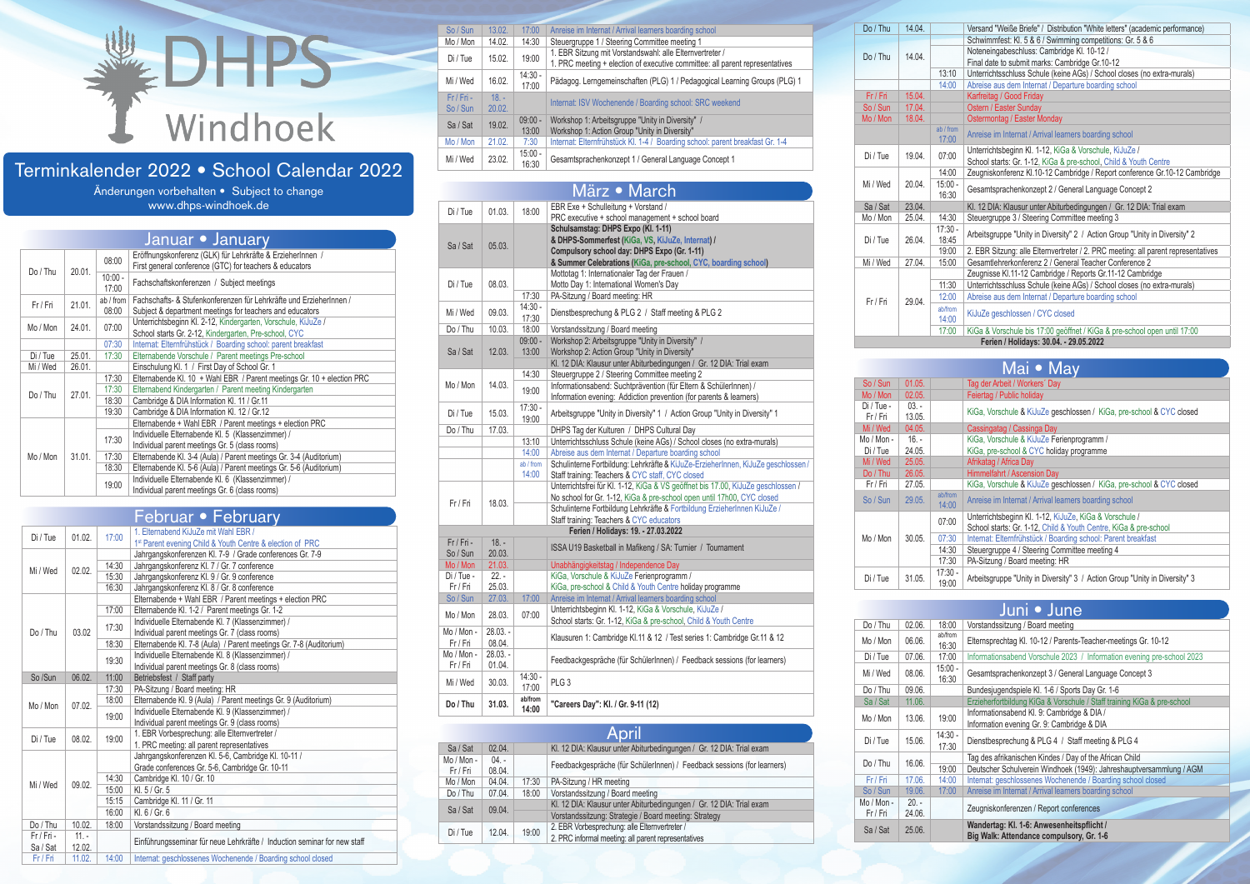# **DHPS** Windhoek

# Terminkalender 2022 • School Calendar 2022

Änderungen vorbehalten • Subject to change www.dhps-windhoek.de

|          |        |           | Januar • January                                                       |  |
|----------|--------|-----------|------------------------------------------------------------------------|--|
|          |        | 08:00     | Eröffnungskonferenz (GLK) für Lehrkräfte & ErzieherInnen /             |  |
| Do / Thu | 20.01. |           | First general conference (GTC) for teachers & educators                |  |
|          |        | $10:00 -$ | Fachschaftskonferenzen / Subject meetings                              |  |
|          |        | 17:00     |                                                                        |  |
| Fr / Fri | 21.01. | ab / from | Fachschafts- & Stufenkonferenzen für Lehrkräfte und ErzieherInnen /    |  |
|          |        | 08:00     | Subject & department meetings for teachers and educators               |  |
| Mo / Mon | 24.01. | 07:00     | Unterrichtsbeginn Kl. 2-12, Kindergarten, Vorschule, KiJuZe /          |  |
|          |        |           | School starts Gr. 2-12, Kindergarten, Pre-school, CYC                  |  |
|          |        | 07:30     | Internat: Elternfrühstück / Boarding school: parent breakfast          |  |
| Di / Tue | 25.01. | 17:30     | Elternabende Vorschule / Parent meetings Pre-school                    |  |
| Mi / Wed | 26.01. |           | Einschulung Kl. 1 / First Day of School Gr. 1                          |  |
|          | 27.01. | 17:30     | Elternabende Kl. 10 + Wahl EBR / Parent meetings Gr. 10 + election PRC |  |
| Do/Thu   |        | 17:30     | Elternabend Kindergarten / Parent meeting Kindergarten                 |  |
|          |        | 18:30     | Cambridge & DIA Information Kl. 11 / Gr.11                             |  |
|          |        | 19:30     | Cambridge & DIA Information Kl. 12 / Gr.12                             |  |
|          |        |           | Elternabende + Wahl EBR / Parent meetings + election PRC               |  |
|          |        | 17:30     | Individuelle Elternabende Kl. 5 (Klassenzimmer) /                      |  |
|          |        |           | Individual parent meetings Gr. 5 (class rooms)                         |  |
| Mo / Mon | 31.01. | 17:30     | Elternabende Kl. 3-4 (Aula) / Parent meetings Gr. 3-4 (Auditorium)     |  |
|          |        | 18:30     | Elternabende Kl. 5-6 (Aula) / Parent meetings Gr. 5-6 (Auditorium)     |  |
|          |        |           | Individuelle Elternabende KI. 6 (Klassenzimmer) /                      |  |
|          |        |           | Individual parent meetings Gr. 6 (class rooms)                         |  |
|          |        | 19:00     |                                                                        |  |

|          |         |       | Februar • February                                                       |
|----------|---------|-------|--------------------------------------------------------------------------|
| Di / Tue | 01.02.  | 17:00 | 1. Elternabend KiJuZe mit Wahl EBR /                                     |
|          |         |       | 1 <sup>st</sup> Parent evening Child & Youth Centre & election of PRC    |
|          |         |       | Jahrgangskonferenzen Kl. 7-9 / Grade conferences Gr. 7-9                 |
| Mi / Wed | 02.02.  | 14:30 | Jahrgangskonferenz Kl. 7 / Gr. 7 conference                              |
|          |         | 15:30 | Jahrgangskonferenz Kl. 9 / Gr. 9 conference                              |
|          |         | 16:30 | Jahrgangskonferenz Kl. 8 / Gr. 8 conference                              |
|          |         |       | Elternabende + Wahl EBR / Parent meetings + election PRC                 |
|          |         | 17:00 | Elternabende Kl. 1-2 / Parent meetings Gr. 1-2                           |
|          |         | 17:30 | Individuelle Elternabende Kl. 7 (Klassenzimmer) /                        |
| Do / Thu | 03.02   |       | Individual parent meetings Gr. 7 (class rooms)                           |
|          |         | 18:30 | Elternabende Kl. 7-8 (Aula) / Parent meetings Gr. 7-8 (Auditorium)       |
|          |         | 19:30 | Individuelle Elternabende Kl. 8 (Klassenzimmer) /                        |
|          |         |       | Individual parent meetings Gr. 8 (class rooms)                           |
| So /Sun  | 06.02.  | 11:00 | Betriebsfest / Staff party                                               |
|          |         | 17:30 | PA-Sitzung / Board meeting: HR                                           |
| Mo / Mon | 07.02.  | 18:00 | Elternabende Kl. 9 (Aula) / Parent meetings Gr. 9 (Auditorium)           |
|          |         | 19:00 | Individuelle Elternabende Kl. 9 (Klassenzimmer) /                        |
|          |         |       |                                                                          |
| Di / Tue | 08.02.  | 19:00 | 1. EBR Vorbesprechung: alle Elternvertreter /                            |
|          |         |       | 1. PRC meeting: all parent representatives                               |
|          |         |       | Jahrgangskonferenzen Kl. 5-6, Cambridge Kl. 10-11 /                      |
|          |         |       | Grade conferences Gr. 5-6, Cambridge Gr. 10-11                           |
| Mi / Wed | 09.02.  | 14:30 | Cambridge Kl. 10 / Gr. 10                                                |
|          |         | 15:00 | KI, 5 / Gr, 5                                                            |
|          |         | 15:15 | Cambridge Kl. 11 / Gr. 11                                                |
|          |         | 16:00 | Kl. 6 / Gr. 6                                                            |
| Do / Thu | 10.02.  | 18:00 | Vorstandssitzung / Board meeting                                         |
| Fr/Fri-  | $11. -$ |       | Einführungsseminar für neue Lehrkräfte / Induction seminar for new staff |
| Sa / Sat | 12.02.  |       |                                                                          |
| Fr / Fri | 11.02.  | 14:00 | Internat: geschlossenes Wochenende / Boarding school closed              |

| So / Sun  | 13.02.  | 17:00              | Anreise im Internat / Arrival learners boarding school                                                                                   |
|-----------|---------|--------------------|------------------------------------------------------------------------------------------------------------------------------------------|
| Mo / Mon  | 14.02.  | 14:30              | Steuergruppe 1 / Steering Committee meeting 1                                                                                            |
| Di / Tue  | 15.02.  | 19:00              | 1. EBR Sitzung mit Vorstandswahl: alle Elternvertreter /<br>1. PRC meeting + election of executive committee: all parent representatives |
| Mi / Wed  | 16.02.  | $14:30 -$<br>17:00 | Pädagog. Lerngemeinschaften (PLG) 1 / Pedagogical Learning Groups (PLG) 1                                                                |
| $Fr/Fn -$ | $18. -$ |                    | Internat: ISV Wochenende / Boarding school: SRC weekend                                                                                  |
| So / Sun  | 20.02.  |                    |                                                                                                                                          |
| Sa / Sat  | 19.02.  | $09:00 -$          | Workshop 1: Arbeitsgruppe "Unity in Diversity" /                                                                                         |
|           |         | 13:00              | Workshop 1: Action Group "Unity in Diversity"                                                                                            |
| Mo / Mon  | 21.02.  | 7:30               | Internat: Elternfrühstück Kl. 1-4 / Boarding school: parent breakfast Gr. 1-4                                                            |
| Mi / Wed  | 23.02.  | $15:00 -$          | Gesamtsprachenkonzept 1 / General Language Concept 1                                                                                     |
|           |         | 16:30              |                                                                                                                                          |
|           |         |                    |                                                                                                                                          |

### März • March

|            |            |                    | r <sub>1</sub><br><b>THEFT</b>                                                          |
|------------|------------|--------------------|-----------------------------------------------------------------------------------------|
| Di / Tue   | 01.03.     | 18:00              | EBR Exe + Schulleitung + Vorstand /<br>PRC executive + school management + school board |
|            |            |                    | Schulsamstag: DHPS Expo (Kl. 1-11)                                                      |
|            |            |                    | & DHPS-Sommerfest (KiGa, VS, KiJuZe, Internat) /                                        |
| Sa / Sat   | 05.03.     |                    | Compulsory school day: DHPS Expo (Gr. 1-11)                                             |
|            |            |                    | & Summer Celebrations (KiGa, pre-school, CYC, boarding school)                          |
|            |            |                    | Mottotag 1: Internationaler Tag der Frauen /                                            |
| Di / Tue   |            |                    |                                                                                         |
|            | 08.03.     |                    | Motto Day 1: International Women's Day                                                  |
|            |            | 17:30<br>$14:30 -$ | PA-Sitzung / Board meeting: HR                                                          |
| Mi / Wed   | 09.03.     |                    | Dienstbesprechung & PLG 2 / Staff meeting & PLG 2                                       |
|            | 10.03.     | 17:30<br>18:00     |                                                                                         |
| Do / Thu   |            |                    | Vorstandssitzung / Board meeting                                                        |
|            |            | $09:00 -$          | Workshop 2: Arbeitsgruppe "Unity in Diversity" /                                        |
| Sa / Sat   | 12.03.     | 13:00              | Workshop 2: Action Group "Unity in Diversity"                                           |
|            |            |                    | Kl. 12 DIA: Klausur unter Abiturbedingungen / Gr. 12 DIA: Trial exam                    |
|            |            | 14:30              | Steuergruppe 2 / Steering Committee meeting 2                                           |
| Mo / Mon   | 14.03.     | 19:00              | Informationsabend: Suchtprävention (für Eltern & SchülerInnen) /                        |
|            |            |                    | Information evening: Addiction prevention (for parents & learners)                      |
| Di / Tue   | 15.03.     | $17:30 -$          | Arbeitsgruppe "Unity in Diversity" 1 / Action Group "Unity in Diversity" 1              |
|            |            | 19:00              |                                                                                         |
| Do / Thu   | 17.03.     |                    | DHPS Tag der Kulturen / DHPS Cultural Day                                               |
|            |            | 13:10              | Unterrichtsschluss Schule (keine AGs) / School closes (no extra-murals)                 |
|            |            | 14:00              | Abreise aus dem Internat / Departure boarding school                                    |
|            |            | ab / from          | Schulinterne Fortbildung: Lehrkräfte & KiJuZe-ErzieherInnen, KiJuZe geschlossen /       |
|            |            | 14:00              | Staff training: Teachers & CYC staff, CYC closed                                        |
|            |            |                    | Unterrichtsfrei für Kl. 1-12, KiGa & VS geöffnet bis 17.00, KiJuZe geschlossen /        |
| Fr / Fri   | 18.03.     |                    | No school for Gr. 1-12, KiGa & pre-school open until 17h00, CYC closed                  |
|            |            |                    | Schulinterne Fortbildung Lehrkräfte & Fortbildung ErzieherInnen KiJuZe /                |
|            |            |                    | Staff training: Teachers & CYC educators                                                |
|            |            |                    | Ferien / Holidays: 19. - 27.03.2022                                                     |
| $Fr/Fri -$ | $18. -$    |                    | ISSA U19 Basketball in Mafikeng / SA: Turnier / Tournament                              |
| So / Sun   | 20.03.     |                    |                                                                                         |
| Mo / Mon   | 21.03.     |                    | Unabhängigkeitstag / Independence Day                                                   |
| Di / Tue - | $22 -$     |                    | KiGa, Vorschule & KiJuZe Ferienprogramm /                                               |
| Fr / Fri   | 25.03.     |                    | KiGa, pre-school & Child & Youth Centre holiday programme                               |
| So / Sun   | 27.03.     | 17:00              | Anreise im Internat / Arrival learners boarding school                                  |
| Mo / Mon   | 28.03.     | 07:00              | Unterrichtsbeginn Kl. 1-12, KiGa & Vorschule, KiJuZe /                                  |
|            |            |                    | School starts: Gr. 1-12, KiGa & pre-school, Child & Youth Centre                        |
| Mo / Mon - | $28.03. -$ |                    |                                                                                         |
| Fr / Fri   | 08.04.     |                    | Klausuren 1: Cambridge Kl.11 & 12 / Test series 1: Cambridge Gr.11 & 12                 |
| Mo / Mon - | $28.03. -$ |                    |                                                                                         |
| Fr / Fri   | 01.04.     |                    | Feedbackgespräche (für SchülerInnen) / Feedback sessions (for learners)                 |
|            | 30.03.     | $14:30 -$          | PLG <sub>3</sub>                                                                        |
| Mi / Wed   |            | 17:00              |                                                                                         |
|            |            | ab/from            |                                                                                         |
| Do / Thu   | 31.03.     | 14:00              | "Careers Day": Kl. / Gr. 9-11 (12)                                                      |
|            |            |                    |                                                                                         |

#### **April** Sa / Sat 02.04. Kl. 12 DIA: Klausur unter Abiturbedingungen / Gr. 12 DIA: Trial exam Mo / Mon - 04. -  $Fr/Fri$  08.04. Feedbackgespräche (für SchülerInnen) / Feedback sessions (for learners) Mo / Mon 04.04. 17:30 PA-Sitzung / HR meeting Do / Thu 07.04. 18:00 Vorstandssitzung / Board meeting<br>Sa / Sat 09.04. Kl. 12 DIA: Trial exam<br>Vorstandssitzung: Strategie / Board meeting: Strategy<br>Di / Tue 12.04. 19:00 2. EBR Vorbesprechung: alle Elternvertreter /<br>Di / T

| Do / Thu | 14.04. |             | Versand "Weiße Briefe" / Distribution "White letters" (academic performance)      |
|----------|--------|-------------|-----------------------------------------------------------------------------------|
|          |        |             | Schwimmfest: Kl. 5 & 6 / Swimming competitions: Gr. 5 & 6                         |
| Do / Thu | 14.04. |             | Noteneingabeschluss: Cambridge Kl. 10-12 /                                        |
|          |        |             | Final date to submit marks: Cambridge Gr.10-12                                    |
|          |        | 13:10       | Unterrichtsschluss Schule (keine AGs) / School closes (no extra-murals)           |
|          |        | 14:00       | Abreise aus dem Internat / Departure boarding school                              |
| Fr / Fri | 15.04. |             | Karfreitag / Good Friday                                                          |
| So / Sun | 17.04. |             | Ostern / Easter Sunday                                                            |
| Mo / Mon | 18.04. |             | Ostermontag / Easter Monday                                                       |
|          |        | $ab$ / from | Anreise im Internat / Arrival learners boarding school                            |
|          |        | 17:00       |                                                                                   |
| Di / Tue | 19.04. | 07:00       | Unterrichtsbeginn Kl. 1-12, KiGa & Vorschule, KiJuZe /                            |
|          |        |             | School starts: Gr. 1-12, KiGa & pre-school, Child & Youth Centre                  |
|          |        | 14:00       | Zeugniskonferenz Kl.10-12 Cambridge / Report conference Gr.10-12 Cambridge        |
| Mi / Wed | 20.04. | $15:00 -$   | Gesamtsprachenkonzept 2 / General Language Concept 2                              |
|          |        | 16:30       |                                                                                   |
| Sa / Sat | 23.04. |             | KI. 12 DIA: Klausur unter Abiturbedingungen / Gr. 12 DIA: Trial exam              |
| Mo / Mon | 25.04. | 14:30       | Steuergruppe 3 / Steering Committee meeting 3                                     |
|          | 26.04. | $17:30 -$   | Arbeitsgruppe "Unity in Diversity" 2 / Action Group "Unity in Diversity" 2        |
| Di / Tue |        | 18:45       |                                                                                   |
|          |        | 19:00       | 2. EBR Sitzung: alle Elternvertreter / 2. PRC meeting: all parent representatives |
| Mi / Wed | 27.04. | 15:00       | Gesamtlehrerkonferenz 2 / General Teacher Conference 2                            |
|          |        |             | Zeugnisse Kl.11-12 Cambridge / Reports Gr.11-12 Cambridge                         |
|          |        | 11:30       | Unterrichtsschluss Schule (keine AGs) / School closes (no extra-murals)           |
| Fr / Fri | 29.04. | 12:00       | Abreise aus dem Internat / Departure boarding school                              |
|          |        | ab/from     | KiJuZe geschlossen / CYC closed                                                   |
|          |        | 14:00       |                                                                                   |
|          |        | 17:00       | KiGa & Vorschule bis 17:00 geöffnet / KiGa & pre-school open until 17:00          |
|          |        |             | Ferien / Holidays: 30.04. - 29.05.2022                                            |
|          |        |             |                                                                                   |

| Mai • May              |                  |                    |                                                                            |                                                                                                                            |  |
|------------------------|------------------|--------------------|----------------------------------------------------------------------------|----------------------------------------------------------------------------------------------------------------------------|--|
| So / Sun               | 01.05.           |                    | Tag der Arbeit / Workers' Day                                              |                                                                                                                            |  |
| Mo / Mon               | 02.05.           |                    | Feiertag / Public holiday                                                  |                                                                                                                            |  |
| Di / Tue -<br>Fr / Fri | $03 -$<br>13.05. |                    | KiGa, Vorschule & KiJuZe geschlossen / KiGa, pre-school & CYC closed       |                                                                                                                            |  |
| Mi / Wed               | 04.05.           |                    | Cassingatag / Cassinga Day                                                 |                                                                                                                            |  |
| Mo / Mon -             | $16. -$          |                    | KiGa, Vorschule & KiJuZe Ferienprogramm /                                  |                                                                                                                            |  |
| Di / Tue               | 24.05.           |                    | KiGa, pre-school & CYC holiday programme                                   |                                                                                                                            |  |
| Mi / Wed               | 25.05.           |                    | Afrikatag / Africa Day                                                     |                                                                                                                            |  |
| Do / Thu               | 26.05.           |                    | Himmelfahrt / Ascension Day                                                |                                                                                                                            |  |
| Fr / Fri               | 27.05.           |                    | KiGa, Vorschule & KiJuZe geschlossen / KiGa, pre-school & CYC closed       |                                                                                                                            |  |
| So / Sun               | 29.05.           | ab/from<br>14:00   | Anreise im Internat / Arrival learners boarding school                     |                                                                                                                            |  |
|                        |                  |                    | 07:00                                                                      | Unterrichtsbeginn Kl. 1-12, KiJuZe, KiGa & Vorschule /<br>School starts: Gr. 1-12, Child & Youth Centre, KiGa & pre-school |  |
| Mo / Mon               | 30.05.           | 07:30              | Internat: Elternfrühstück / Boarding school: Parent breakfast              |                                                                                                                            |  |
|                        |                  | 14:30              | Steuergruppe 4 / Steering Committee meeting 4                              |                                                                                                                            |  |
|                        |                  | 17:30              | PA-Sitzung / Board meeting: HR                                             |                                                                                                                            |  |
| Di / Tue               | 31.05.           | $17:30 -$<br>19:00 | Arbeitsgruppe "Unity in Diversity" 3 / Action Group "Unity in Diversity" 3 |                                                                                                                            |  |

|                      |                   |                    | Juni • June                                                                              |
|----------------------|-------------------|--------------------|------------------------------------------------------------------------------------------|
| Do / Thu             | 02.06.            | 18:00              | Vorstandssitzung / Board meeting                                                         |
| Mo / Mon             | 06.06.            | ab/from<br>16:30   | Elternsprechtag Kl. 10-12 / Parents-Teacher-meetings Gr. 10-12                           |
| Di / Tue             | 07.06.            | 17:00              | Informationsabend Vorschule 2023 / Information evening pre-school 2023                   |
| Mi / Wed             | 08.06.            | $15:00 -$<br>16:30 | Gesamtsprachenkonzept 3 / General Language Concept 3                                     |
| Do / Thu             | 09.06.            |                    | Bundesjugendspiele Kl. 1-6 / Sports Day Gr. 1-6                                          |
| Sa / Sat             | 11.06.            |                    | Erzieherfortbildung KiGa & Vorschule / Staff training KiGa & pre-school                  |
| Mo / Mon             | 13.06.            | 19:00              | Informationsabend Kl. 9: Cambridge & DIA /<br>Information evening Gr. 9: Cambridge & DIA |
| Di / Tue             | 15.06.            | $14:30 -$<br>17:30 | Dienstbesprechung & PLG 4 / Staff meeting & PLG 4                                        |
|                      | 16.06.            |                    | Tag des afrikanischen Kindes / Day of the African Child                                  |
| Do / Thu             |                   | 19:00              | Deutscher Schulverein Windhoek (1949): Jahreshauptversammlung / AGM                      |
| Fr / Fri             | 17.06.            | 14:00              | Internat: geschlossenes Wochenende / Boarding school closed                              |
| So / Sun             | 19.06.            | 17:00              | Anreise im Internat / Arrival learners boarding school                                   |
| Mo / Mon -<br>Fr/Fri | $20. -$<br>24.06. |                    | Zeugniskonferenzen / Report conferences                                                  |
| Sa / Sat             | 25.06.            |                    | Wandertag: Kl. 1-6: Anwesenheitspflicht /<br>Big Walk: Attendance compulsory, Gr. 1-6    |